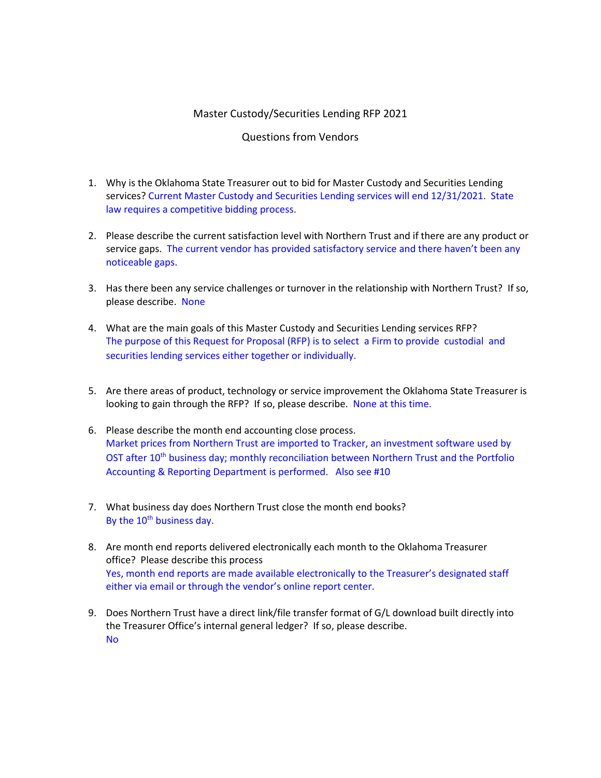## Master Custody/Securities Lending RFP 2021

## Questions from Vendors

- 1. Why is the Oklahoma State Treasurer out to bid for Master Custody and Securities Lending services? Current Master Custody and Securities Lending services will end 12/31/2021. State law requires a competitive bidding process.
- 2. Please describe the current satisfaction level with Northern Trust and if there are any product or service gaps. The current vendor has provided satisfactory service and there haven't been any noticeable gaps.
- 3. Has there been any service challenges or turnover in the relationship with Northern Trust? If so, please describe. None
- 4. What are the main goals of this Master Custody and Securities Lending services RFP? The purpose of this Request for Proposal (RFP) is to select a Firm to provide custodial and securities lending services either together or individually.
- 5. Are there areas of product, technology or service improvement the Oklahoma State Treasurer is looking to gain through the RFP? If so, please describe. None at this time.
- 6. Please describe the month end accounting close process. Market prices from Northern Trust are imported to Tracker, an investment software used by OST after 10<sup>th</sup> business day; monthly reconciliation between Northern Trust and the Portfolio Accounting & Reporting Department is performed. Also see #10
- 7. What business day does Northern Trust close the month end books? By the 10<sup>th</sup> business day.
- 8. Are month end reports delivered electronically each month to the Oklahoma Treasurer office? Please describe this process Yes, month end reports are made available electronically to the Treasurer's designated staff either via email or through the vendor's online report center.
- 9. Does Northern Trust have a direct link/file transfer format of G/L download built directly into the Treasurer Office's internal general ledger? If so, please describe. No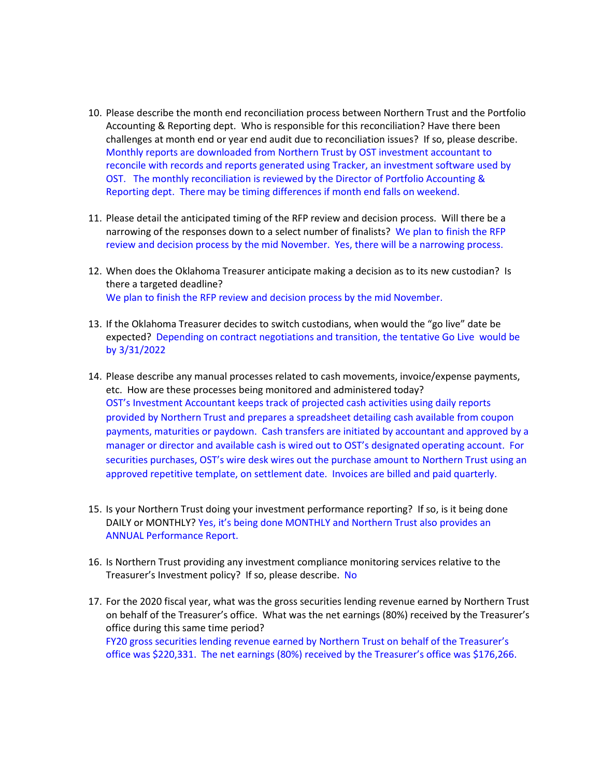- 10. Please describe the month end reconciliation process between Northern Trust and the Portfolio Accounting & Reporting dept. Who is responsible for this reconciliation? Have there been challenges at month end or year end audit due to reconciliation issues? If so, please describe. Monthly reports are downloaded from Northern Trust by OST investment accountant to reconcile with records and reports generated using Tracker, an investment software used by OST. The monthly reconciliation is reviewed by the Director of Portfolio Accounting & Reporting dept. There may be timing differences if month end falls on weekend.
- 11. Please detail the anticipated timing of the RFP review and decision process. Will there be a narrowing of the responses down to a select number of finalists? We plan to finish the RFP review and decision process by the mid November. Yes, there will be a narrowing process.
- 12. When does the Oklahoma Treasurer anticipate making a decision as to its new custodian? Is there a targeted deadline? We plan to finish the RFP review and decision process by the mid November.
- 13. If the Oklahoma Treasurer decides to switch custodians, when would the "go live" date be expected? Depending on contract negotiations and transition, the tentative Go Live would be by 3/31/2022
- 14. Please describe any manual processes related to cash movements, invoice/expense payments, etc. How are these processes being monitored and administered today? OST's Investment Accountant keeps track of projected cash activities using daily reports provided by Northern Trust and prepares a spreadsheet detailing cash available from coupon payments, maturities or paydown. Cash transfers are initiated by accountant and approved by a manager or director and available cash is wired out to OST's designated operating account. For securities purchases, OST's wire desk wires out the purchase amount to Northern Trust using an approved repetitive template, on settlement date. Invoices are billed and paid quarterly.
- 15. Is your Northern Trust doing your investment performance reporting? If so, is it being done DAILY or MONTHLY? Yes, it's being done MONTHLY and Northern Trust also provides an ANNUAL Performance Report.
- 16. Is Northern Trust providing any investment compliance monitoring services relative to the Treasurer's Investment policy? If so, please describe. No
- 17. For the 2020 fiscal year, what was the gross securities lending revenue earned by Northern Trust on behalf of the Treasurer's office. What was the net earnings (80%) received by the Treasurer's office during this same time period? FY20 gross securities lending revenue earned by Northern Trust on behalf of the Treasurer's office was \$220,331. The net earnings (80%) received by the Treasurer's office was \$176,266.